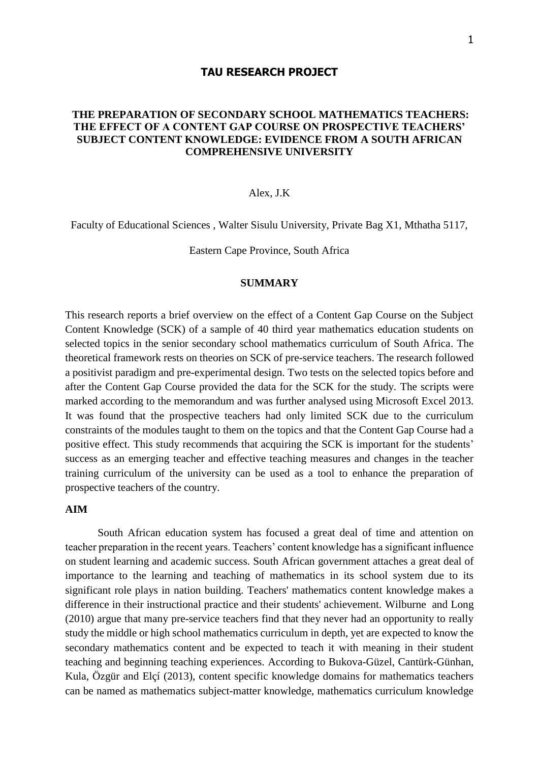### **TAU RESEARCH PROJECT**

# **THE PREPARATION OF SECONDARY SCHOOL MATHEMATICS TEACHERS: THE EFFECT OF A CONTENT GAP COURSE ON PROSPECTIVE TEACHERS' SUBJECT CONTENT KNOWLEDGE: EVIDENCE FROM A SOUTH AFRICAN COMPREHENSIVE UNIVERSITY**

### Alex, J.K

Faculty of Educational Sciences , Walter Sisulu University, Private Bag X1, Mthatha 5117,

Eastern Cape Province, South Africa

## **SUMMARY**

This research reports a brief overview on the effect of a Content Gap Course on the Subject Content Knowledge (SCK) of a sample of 40 third year mathematics education students on selected topics in the senior secondary school mathematics curriculum of South Africa. The theoretical framework rests on theories on SCK of pre-service teachers. The research followed a positivist paradigm and pre-experimental design. Two tests on the selected topics before and after the Content Gap Course provided the data for the SCK for the study. The scripts were marked according to the memorandum and was further analysed using Microsoft Excel 2013. It was found that the prospective teachers had only limited SCK due to the curriculum constraints of the modules taught to them on the topics and that the Content Gap Course had a positive effect. This study recommends that acquiring the SCK is important for the students' success as an emerging teacher and effective teaching measures and changes in the teacher training curriculum of the university can be used as a tool to enhance the preparation of prospective teachers of the country.

### **AIM**

South African education system has focused a great deal of time and attention on teacher preparation in the recent years. Teachers' content knowledge has a significant influence on student learning and academic success. South African government attaches a great deal of importance to the learning and teaching of mathematics in its school system due to its significant role plays in nation building. Teachers' mathematics content knowledge makes a difference in their instructional practice and their students' achievement. Wilburne and Long (2010) argue that many pre-service teachers find that they never had an opportunity to really study the middle or high school mathematics curriculum in depth, yet are expected to know the secondary mathematics content and be expected to teach it with meaning in their student teaching and beginning teaching experiences. According to Bukova-Güzel, Cantürk-Günhan, Kula, Özgür and Elçí (2013), content specific knowledge domains for mathematics teachers can be named as mathematics subject-matter knowledge, mathematics curriculum knowledge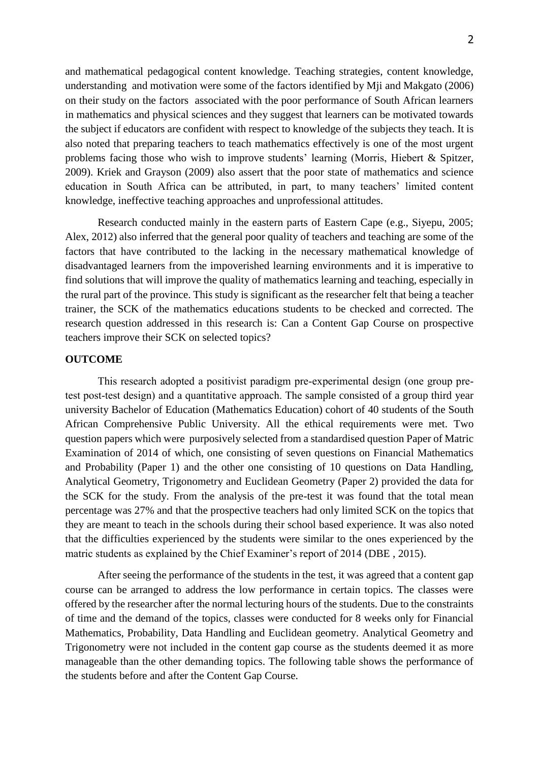and mathematical pedagogical content knowledge. Teaching strategies, content knowledge, understanding and motivation were some of the factors identified by Mji and Makgato (2006) on their study on the factors associated with the poor performance of South African learners in mathematics and physical sciences and they suggest that learners can be motivated towards the subject if educators are confident with respect to knowledge of the subjects they teach. It is also noted that preparing teachers to teach mathematics effectively is one of the most urgent problems facing those who wish to improve students' learning (Morris, Hiebert & Spitzer, 2009). Kriek and Grayson (2009) also assert that the poor state of mathematics and science education in South Africa can be attributed, in part, to many teachers' limited content knowledge, ineffective teaching approaches and unprofessional attitudes.

Research conducted mainly in the eastern parts of Eastern Cape (e.g., Siyepu, 2005; Alex, 2012) also inferred that the general poor quality of teachers and teaching are some of the factors that have contributed to the lacking in the necessary mathematical knowledge of disadvantaged learners from the impoverished learning environments and it is imperative to find solutions that will improve the quality of mathematics learning and teaching, especially in the rural part of the province. This study is significant as the researcher felt that being a teacher trainer, the SCK of the mathematics educations students to be checked and corrected. The research question addressed in this research is: Can a Content Gap Course on prospective teachers improve their SCK on selected topics?

#### **OUTCOME**

This research adopted a positivist paradigm pre-experimental design (one group pretest post-test design) and a quantitative approach. The sample consisted of a group third year university Bachelor of Education (Mathematics Education) cohort of 40 students of the South African Comprehensive Public University. All the ethical requirements were met. Two question papers which were purposively selected from a standardised question Paper of Matric Examination of 2014 of which, one consisting of seven questions on Financial Mathematics and Probability (Paper 1) and the other one consisting of 10 questions on Data Handling, Analytical Geometry, Trigonometry and Euclidean Geometry (Paper 2) provided the data for the SCK for the study. From the analysis of the pre-test it was found that the total mean percentage was 27% and that the prospective teachers had only limited SCK on the topics that they are meant to teach in the schools during their school based experience. It was also noted that the difficulties experienced by the students were similar to the ones experienced by the matric students as explained by the Chief Examiner's report of 2014 (DBE , 2015).

After seeing the performance of the students in the test, it was agreed that a content gap course can be arranged to address the low performance in certain topics. The classes were offered by the researcher after the normal lecturing hours of the students. Due to the constraints of time and the demand of the topics, classes were conducted for 8 weeks only for Financial Mathematics, Probability, Data Handling and Euclidean geometry. Analytical Geometry and Trigonometry were not included in the content gap course as the students deemed it as more manageable than the other demanding topics. The following table shows the performance of the students before and after the Content Gap Course.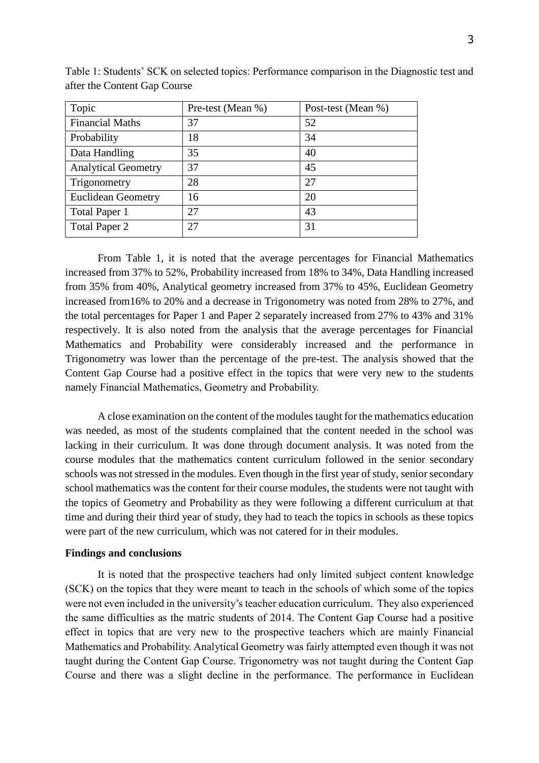| Topic                      | Pre-test (Mean %) | Post-test (Mean %) |
|----------------------------|-------------------|--------------------|
| <b>Financial Maths</b>     | 37                | 52                 |
| Probability                | 18                | 34                 |
| Data Handling              | 35                | 40                 |
| <b>Analytical Geometry</b> | 37                | 45                 |
| Trigonometry               | 28                | 27                 |
| <b>Euclidean Geometry</b>  | 16                | 20                 |
| Total Paper 1              | 27                | 43                 |
| Total Paper 2              | 27                | 31                 |

Table 1: Students' SCK on selected topics: Performance comparison in the Diagnostic test and after the Content Gap Course

From Table 1, it is noted that the average percentages for Financial Mathematics increased from 37% to 52%, Probability increased from 18% to 34%, Data Handling increased from 35% from 40%, Analytical geometry increased from 37% to 45%, Euclidean Geometry increased from16% to 20% and a decrease in Trigonometry was noted from 28% to 27%, and the total percentages for Paper 1 and Paper 2 separately increased from 27% to 43% and 31% respectively. It is also noted from the analysis that the average percentages for Financial Mathematics and Probability were considerably increased and the performance in Trigonometry was lower than the percentage of the pre-test. The analysis showed that the Content Gap Course had a positive effect in the topics that were very new to the students namely Financial Mathematics, Geometry and Probability.

A close examination on the content of the modules taught for the mathematics education was needed, as most of the students complained that the content needed in the school was lacking in their curriculum. It was done through document analysis. It was noted from the course modules that the mathematics content curriculum followed in the senior secondary schools was not stressed in the modules. Even though in the first year of study, senior secondary school mathematics was the content for their course modules, the students were not taught with the topics of Geometry and Probability as they were following a different curriculum at that time and during their third year of study, they had to teach the topics in schools as these topics were part of the new curriculum, which was not catered for in their modules.

#### **Findings and conclusions**

It is noted that the prospective teachers had only limited subject content knowledge (SCK) on the topics that they were meant to teach in the schools of which some of the topics were not even included in the university's teacher education curriculum. They also experienced the same difficulties as the matric students of 2014. The Content Gap Course had a positive effect in topics that are very new to the prospective teachers which are mainly Financial Mathematics and Probability. Analytical Geometry was fairly attempted even though it was not taught during the Content Gap Course. Trigonometry was not taught during the Content Gap Course and there was a slight decline in the performance. The performance in Euclidean